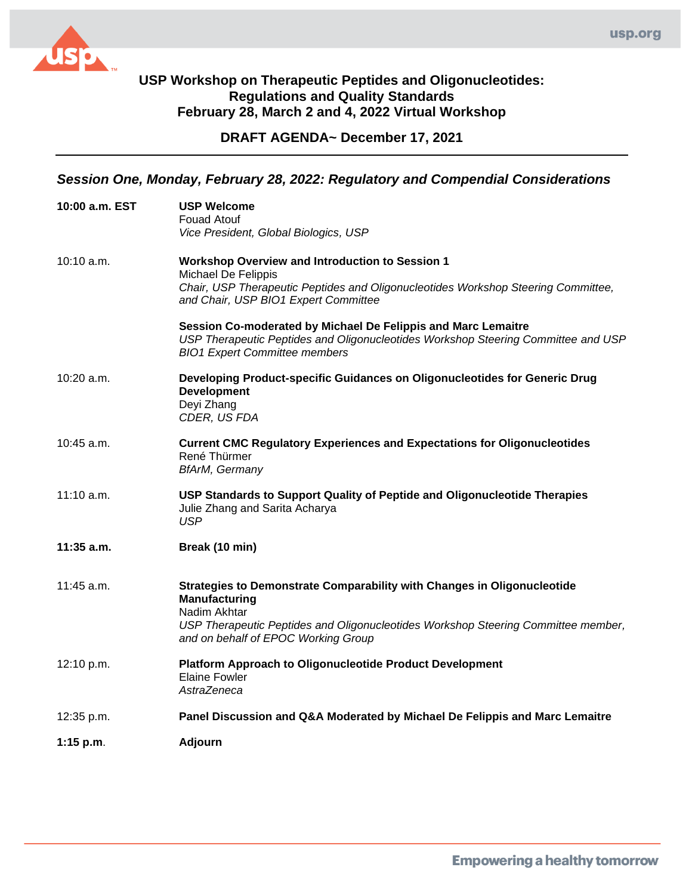

**DRAFT AGENDA~ December 17, 2021**

## *Session One, Monday, February 28, 2022: Regulatory and Compendial Considerations*

| 10:00 a.m. EST | <b>USP Welcome</b><br><b>Fouad Atouf</b><br>Vice President, Global Biologics, USP                                                                                                                                                    |
|----------------|--------------------------------------------------------------------------------------------------------------------------------------------------------------------------------------------------------------------------------------|
| 10:10 a.m.     | <b>Workshop Overview and Introduction to Session 1</b><br>Michael De Felippis<br>Chair, USP Therapeutic Peptides and Oligonucleotides Workshop Steering Committee,<br>and Chair, USP BIO1 Expert Committee                           |
|                | Session Co-moderated by Michael De Felippis and Marc Lemaitre<br>USP Therapeutic Peptides and Oligonucleotides Workshop Steering Committee and USP<br><b>BIO1 Expert Committee members</b>                                           |
| $10:20$ a.m.   | Developing Product-specific Guidances on Oligonucleotides for Generic Drug<br><b>Development</b><br>Deyi Zhang<br>CDER, US FDA                                                                                                       |
| 10:45 a.m.     | <b>Current CMC Regulatory Experiences and Expectations for Oligonucleotides</b><br>René Thürmer<br><b>BfArM, Germany</b>                                                                                                             |
| 11:10 a.m.     | USP Standards to Support Quality of Peptide and Oligonucleotide Therapies<br>Julie Zhang and Sarita Acharya<br><b>USP</b>                                                                                                            |
| 11:35 a.m.     | Break (10 min)                                                                                                                                                                                                                       |
| $11:45$ a.m.   | Strategies to Demonstrate Comparability with Changes in Oligonucleotide<br>Manufacturing<br>Nadim Akhtar<br>USP Therapeutic Peptides and Oligonucleotides Workshop Steering Committee member,<br>and on behalf of EPOC Working Group |
| 12:10 p.m.     | <b>Platform Approach to Oligonucleotide Product Development</b><br><b>Elaine Fowler</b><br>AstraZeneca                                                                                                                               |
| 12:35 p.m.     | Panel Discussion and Q&A Moderated by Michael De Felippis and Marc Lemaitre                                                                                                                                                          |
| $1:15$ p.m.    | <b>Adjourn</b>                                                                                                                                                                                                                       |
|                |                                                                                                                                                                                                                                      |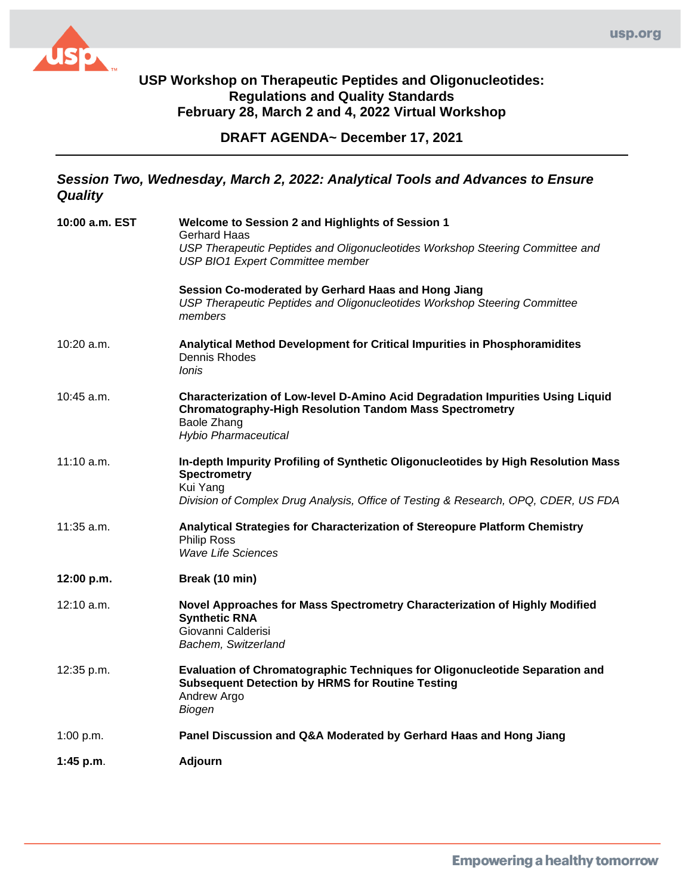

## **USP Workshop on Therapeutic Peptides and Oligonucleotides: Regulations and Quality Standards February 28, March 2 and 4, 2022 Virtual Workshop**

**DRAFT AGENDA~ December 17, 2021**

## *Session Two, Wednesday, March 2, 2022: Analytical Tools and Advances to Ensure Quality*

| 10:00 a.m. EST | Welcome to Session 2 and Highlights of Session 1<br><b>Gerhard Haas</b><br>USP Therapeutic Peptides and Oligonucleotides Workshop Steering Committee and<br>USP BIO1 Expert Committee member<br>Session Co-moderated by Gerhard Haas and Hong Jiang<br>USP Therapeutic Peptides and Oligonucleotides Workshop Steering Committee<br>members |
|----------------|---------------------------------------------------------------------------------------------------------------------------------------------------------------------------------------------------------------------------------------------------------------------------------------------------------------------------------------------|
| $10:20$ a.m.   | Analytical Method Development for Critical Impurities in Phosphoramidites<br>Dennis Rhodes<br>Ionis                                                                                                                                                                                                                                         |
| $10:45$ a.m.   | Characterization of Low-level D-Amino Acid Degradation Impurities Using Liquid<br><b>Chromatography-High Resolution Tandom Mass Spectrometry</b><br>Baole Zhang<br><b>Hybio Pharmaceutical</b>                                                                                                                                              |
| $11:10$ a.m.   | In-depth Impurity Profiling of Synthetic Oligonucleotides by High Resolution Mass<br><b>Spectrometry</b><br>Kui Yang<br>Division of Complex Drug Analysis, Office of Testing & Research, OPQ, CDER, US FDA                                                                                                                                  |
| 11:35 a.m.     | Analytical Strategies for Characterization of Stereopure Platform Chemistry<br><b>Philip Ross</b><br>Wave Life Sciences                                                                                                                                                                                                                     |
| 12:00 p.m.     | Break (10 min)                                                                                                                                                                                                                                                                                                                              |
| $12:10$ a.m.   | Novel Approaches for Mass Spectrometry Characterization of Highly Modified<br><b>Synthetic RNA</b><br>Giovanni Calderisi<br>Bachem, Switzerland                                                                                                                                                                                             |
| 12:35 p.m.     | Evaluation of Chromatographic Techniques for Oligonucleotide Separation and<br><b>Subsequent Detection by HRMS for Routine Testing</b><br>Andrew Argo<br>Biogen                                                                                                                                                                             |
| 1:00 p.m.      | Panel Discussion and Q&A Moderated by Gerhard Haas and Hong Jiang                                                                                                                                                                                                                                                                           |
| 1:45 p.m.      | <b>Adjourn</b>                                                                                                                                                                                                                                                                                                                              |